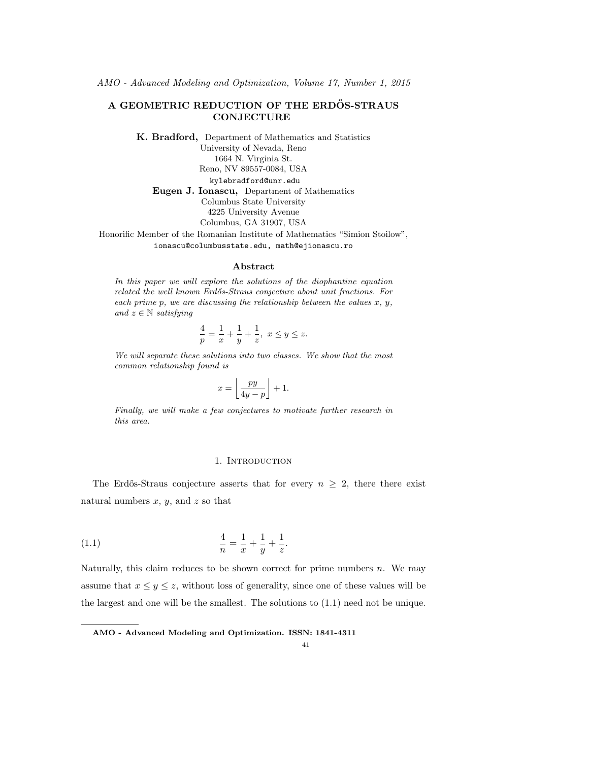# A GEOMETRIC REDUCTION OF THE ERDÖS-STRAUS **CONJECTURE**

K. Bradford, Department of Mathematics and Statistics University of Nevada, Reno 1664 N. Virginia St. Reno, NV 89557-0084, USA kylebradford@unr.edu Eugen J. Ionascu, Department of Mathematics Columbus State University 4225 University Avenue Columbus, GA 31907, USA Honorific Member of the Romanian Institute of Mathematics "Simion Stoilow",

ionascu@columbusstate.edu, math@ejionascu.ro

### Abstract

In this paper we will explore the solutions of the diophantine equation related the well known Erdős-Straus conjecture about unit fractions. For each prime p, we are discussing the relationship between the values  $x, y$ , and  $z \in \mathbb{N}$  satisfying

$$
\frac{4}{p} = \frac{1}{x} + \frac{1}{y} + \frac{1}{z}, \ x \leq y \leq z.
$$

We will separate these solutions into two classes. We show that the most common relationship found is

$$
x = \left\lfloor \frac{py}{4y - p} \right\rfloor + 1.
$$

Finally, we will make a few conjectures to motivate further research in this area.

#### 1. Introduction

The Erdős-Straus conjecture asserts that for every  $n \geq 2$ , there there exist natural numbers  $x, y$ , and  $z$  so that

(1.1) 
$$
\frac{4}{n} = \frac{1}{x} + \frac{1}{y} + \frac{1}{z}.
$$

Naturally, this claim reduces to be shown correct for prime numbers  $n$ . We may assume that  $x \le y \le z$ , without loss of generality, since one of these values will be the largest and one will be the smallest. The solutions to (1.1) need not be unique.

AMO - Advanced Modeling and Optimization. ISSN: 1841-4311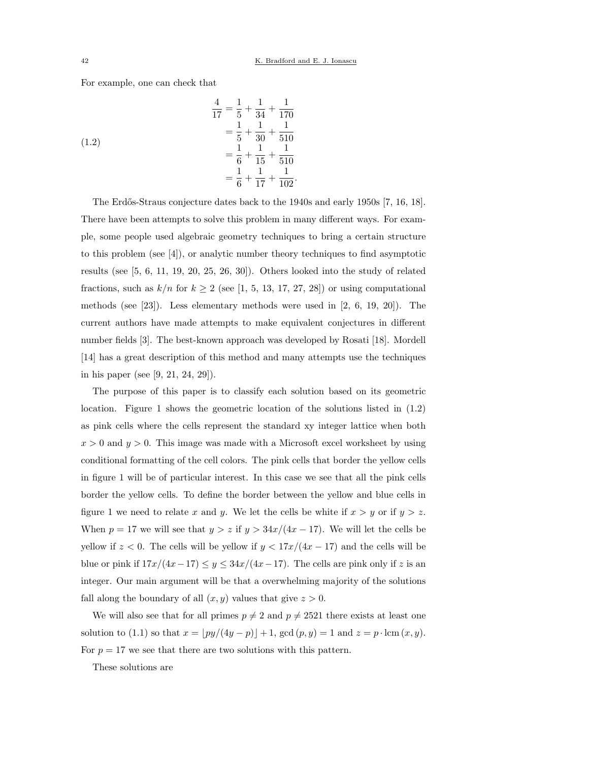For example, one can check that

(1.2)  
\n
$$
\frac{4}{17} = \frac{1}{5} + \frac{1}{34} + \frac{1}{170}
$$
\n
$$
= \frac{1}{5} + \frac{1}{30} + \frac{1}{510}
$$
\n
$$
= \frac{1}{6} + \frac{1}{15} + \frac{1}{510}
$$
\n
$$
= \frac{1}{6} + \frac{1}{17} + \frac{1}{102}.
$$

The Erdős-Straus conjecture dates back to the 1940s and early 1950s [7, 16, 18]. There have been attempts to solve this problem in many different ways. For example, some people used algebraic geometry techniques to bring a certain structure to this problem (see [4]), or analytic number theory techniques to find asymptotic results (see [5, 6, 11, 19, 20, 25, 26, 30]). Others looked into the study of related fractions, such as  $k/n$  for  $k \geq 2$  (see [1, 5, 13, 17, 27, 28]) or using computational methods (see [23]). Less elementary methods were used in [2, 6, 19, 20]). The current authors have made attempts to make equivalent conjectures in different number fields [3]. The best-known approach was developed by Rosati [18]. Mordell [14] has a great description of this method and many attempts use the techniques in his paper (see [9, 21, 24, 29]).

The purpose of this paper is to classify each solution based on its geometric location. Figure 1 shows the geometric location of the solutions listed in (1.2) as pink cells where the cells represent the standard xy integer lattice when both  $x > 0$  and  $y > 0$ . This image was made with a Microsoft excel worksheet by using conditional formatting of the cell colors. The pink cells that border the yellow cells in figure 1 will be of particular interest. In this case we see that all the pink cells border the yellow cells. To define the border between the yellow and blue cells in figure 1 we need to relate x and y. We let the cells be white if  $x > y$  or if  $y > z$ . When  $p = 17$  we will see that  $y > z$  if  $y > 34x/(4x - 17)$ . We will let the cells be yellow if  $z < 0$ . The cells will be yellow if  $y < 17x/(4x - 17)$  and the cells will be blue or pink if  $17x/(4x-17) \le y \le 34x/(4x-17)$ . The cells are pink only if z is an integer. Our main argument will be that a overwhelming majority of the solutions fall along the boundary of all  $(x, y)$  values that give  $z > 0$ .

We will also see that for all primes  $p \neq 2$  and  $p \neq 2521$  there exists at least one solution to (1.1) so that  $x = \lfloor py/(4y - p) \rfloor + 1$ , gcd  $(p, y) = 1$  and  $z = p \cdot \text{lcm}(x, y)$ . For  $p = 17$  we see that there are two solutions with this pattern.

These solutions are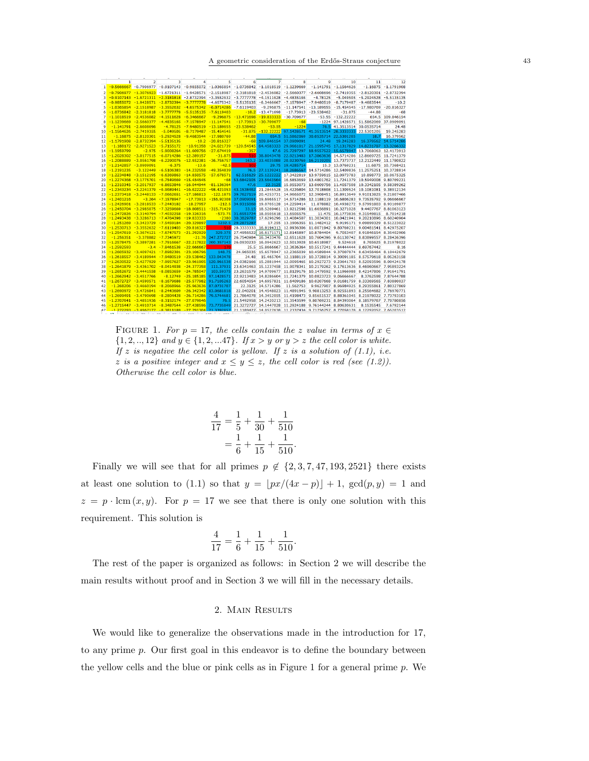#### A geometric consideration of the Erdős-Straus conjecture 43

|          |                              | $\overline{z}$                           | 3                                |                              | 5                                                                                                                           | 6                        |                                                                              | 8                     | ۰                                           | 10                                                          | 11                                                                | 12                     |
|----------|------------------------------|------------------------------------------|----------------------------------|------------------------------|-----------------------------------------------------------------------------------------------------------------------------|--------------------------|------------------------------------------------------------------------------|-----------------------|---------------------------------------------|-------------------------------------------------------------|-------------------------------------------------------------------|------------------------|
| 1        |                              |                                          |                                  |                              | $-0.5666667 -0.7906977 -0.9107143 -0.9855072 -1.0365854 -1.0736842 -1.1018519 -1.1239669$                                   |                          |                                                                              |                       |                                             | $-1.141791 - 1.1564626$                                     |                                                                   | $-1.16875 - 1.1791908$ |
| 2        |                              |                                          |                                  |                              | $-0.7906977 - 1.3076923 - 1.6721311 - 1.9428571 - 2.1518987 - 2.3181818 - 2.4536082 - 2.5660377 - 2.6608696$                |                          |                                                                              |                       |                                             |                                                             | $-2.7419355 - 2.8120301$                                          | $-2.8732394$           |
| 3        |                              |                                          |                                  |                              | $-0.9107143 -1.6721311 -2.3181818 -2.8732394 -3.3552632 -3.7777778 -4.1511628 -4.4835165$                                   |                          |                                                                              |                       | $-4.78125$                                  |                                                             | $-5.049505 - 5.2924528$                                           | $-5.5135135$           |
|          |                              |                                          |                                  |                              | $-0.9855072 -1.9428571 -2.8732394 -3.7777778 -4.6575342 -5.5135135! -6.3466667 -7.1578947 -7.9480519 -8.7179487 -9.4683544$ |                          |                                                                              |                       |                                             |                                                             |                                                                   | $-10.2$                |
| 5        | $-1.0365854$                 | $-2.1518987$                             | $-3,3552632$                     |                              | $-4,6575342 -6.0714286 -7.6119403$                                                                                          |                          |                                                                              |                       |                                             | $-9.296875 - 11.147541 - 13.189655 - 15.454545 - 17.980769$ |                                                                   | $-20.816327$           |
| 6        | $-1.0736842$                 | $-2.3181818$                             | $-3.7777778$                     | $-5.5135135$                 | $-7.6119403$                                                                                                                |                          | $-10.2 - 13.471698$                                                          |                       | $-17.73913 - 23.538462$                     | $-31.875$                                                   | $-44.88$                                                          | $-68$                  |
| 7        | $-1.1018519$                 | $-2.4536082$                             | $-4.1511628$                     | $-6.3466667$                 | $-9.296875$                                                                                                                 |                          | $-13.471698 - 19.833333 - 30.709677$                                         |                       |                                             | $-53.55 - 132.22222$                                        |                                                                   | 654.5 109.846154       |
| R        | $-1.1239669$                 | $-2.5660377$                             | $-4.4835165$                     |                              | $-7.1578947 - 11.147541$                                                                                                    | $-17.73913$              | $-30.709677$                                                                 | $-68$                 |                                             |                                                             | -1224 97.1428571 51.5862069 37.0909091                            |                        |
| ٥        | $-1.141791$                  | $-2.6608696$                             | $-4.78125$                       | $-7.9480519$                 | $-13.189655$                                                                                                                | $-23.538462$             | $-53.55$                                                                     | $-1224$               |                                             | 76.5 41.3513514 30.0535714                                  |                                                                   | 24.48                  |
| 10       | $-1.1564626$                 | $-2.7419355$                             | $-5.049505$                      | $-8.7179487 - 15.454545$     |                                                                                                                             |                          | -31.875 -132.22222 97.1428571 41.3513514 28.3333333 22.5301205               |                       |                                             |                                                             |                                                                   | 19.245283              |
| 11       | $-1.16875$                   | $-2.8120301$                             | $-5.2924528$                     | $-9.4683544$                 | $-17.980769$                                                                                                                | $-44.88$                 | 654.5                                                                        |                       | 51.5862069 30.0535714 22.5301205            |                                                             | 18.7                                                              | 16.379562              |
| 12       |                              | $-1.1791908 - 2.8732394 - 5.5135135$     |                                  |                              | $-10.2 - 20.816327$                                                                                                         | $-68$                    | 109.846154 37.0909091                                                        |                       | 24.48                                       | 19.245283                                                   |                                                                   | 16.379562 14.5714286   |
| 13       | $-1.188172$                  | $-2.9271523$                             | $-5.7155172$                     | $-10.91358$                  | $-24.021739$                                                                                                                | $-120.54545$             | 64.4583333                                                                   |                       |                                             |                                                             | 29.9661017 21.1595745 17.1317829 14.8231707 13.3266332            |                        |
| 14       | $-1.1959799$                 |                                          | $-2.975 - 5.9008264 - 11.609756$ |                              | $-27.674419$                                                                                                                | $-357$                   |                                                                              |                       |                                             |                                                             | 47.6 25.7297297 18.9557522 15.6578947 13.7068063 12.4173913       |                        |
| 15       | $-1.2028302$                 | $-3.0177515$                             | $-6.0714286$                     | $-12.289157$                 | $-31.875$                                                                                                                   | 510                      | 38.8043478                                                                   |                       |                                             |                                                             | 22.9213483 17.3863636 14.5714286 12.8669725 11.7241379            |                        |
| 16       | $-1.2088889$                 | $-3.0561798$                             | $-6.2290076$                     | $-12.952381$                 | $-36.756757$                                                                                                                | 163.2                    | 33.4035088                                                                   | 20.9230769            |                                             |                                                             | 16.2119205 13.7373737 12.2122449 11.1780822                       |                        |
| 17       | $-1.2142857$                 | $-3.0909091$                             | $-6.375$                         | $-13.6$                      | $-42.5$                                                                                                                     | 102                      |                                                                              | 29.75 19.4285714      |                                             | 15.3 13.0769231                                             |                                                                   | 11.6875 10.7368421     |
| 18       | $-1.2191235$                 | $-3.122449$                              | $-6.5106383$                     | $-14.232558$                 | $-49.354839$                                                                                                                | 76.5                     |                                                                              |                       |                                             |                                                             | 27.1139241 18.2686567 14.5714286 12.5409836 11.2575251 10.3728814 |                        |
| 19       | $-1.2234848$                 | $-3.1512195$                             | $-6.6369863$                     | $-14.850575$                 | $-57.678571$                                                                                                                | 62.516129                |                                                                              |                       | 25.1222222 17.3422819 13.9759615 12.0973783 |                                                             |                                                                   | 10.898773 10.0675325   |
| 20       | $-1.2274368$                 | $-3.1775701$                             | $-6.7549669$                     | $-15.454545$                 | $-68$                                                                                                                       | 53.6842105               | 23.5643564                                                                   |                       |                                             |                                                             | 16.5853659 13.4801762 11.7241379 10.5949008 9.80769231            |                        |
| 21       | $-1.2310345$                 | $-3.2017937$                             | $-6.8653846$                     | $-16.044944$                 | $-81.136364$                                                                                                                | 47.6                     | 22.3125                                                                      |                       |                                             |                                                             | 15.9553073 13.0609756 11.4057508 10.3342105 9.58389262            |                        |
| 22       | $-1.2343234$                 | $-3.2241379$                             | $-6.9689441$                     | $-16.622222$                 | $-98,421053$                                                                                                                | 43.1538462               |                                                                              |                       |                                             |                                                             | 21.2845528 15.4226804 12.7018868 11.1309524 10.1081081 9.38912134 |                        |
| 23       | $-1.2373418$                 | $-3.2448133$                             | $-7.0662651$                     | $-17.186813$                 | $-122.1875$                                                                                                                 | 39.7627119               |                                                                              |                       |                                             |                                                             | 20.4253731 14.9665072 12.3908451 10.8913649 9.91013825 9.21807466 |                        |
| 24       | $-1.2401216$                 |                                          | $-3.264 - 7.1578947$             | $-17.73913$                  | $-156.92308$                                                                                                                | 37.0909091               |                                                                              |                       |                                             |                                                             | 19.6965517 14.5714286 12.1188119 10.6806283 9.73535792 9.06666667 |                        |
| 25       |                              | $-1,2426901 -3,2818533$                  | $-7,2443182$                     | $-18.27957$                  | $-212.5$                                                                                                                    | 34.9315068               |                                                                              | 19.0705128 14.2259414 |                                             |                                                             | 11.878882 10.4938272 9.57991803 8.93169877                        |                        |
| 26       | $-1.2450704$                 | $-3.2985075$                             | $-7.3259669$                     | $-18.808511$                 | $-315.71429$                                                                                                                | 33.15                    |                                                                              |                       | 18.5269461 13.9212598 11.6656891 10.3271028 |                                                             |                                                                   | 9.4407767 8.81063123   |
| 27<br>28 | $-1.2472826$<br>$-1.2493438$ | $-3.3140794 - 7.4032258$<br>$-3.3286713$ | $-7.4764398$                     | $-19.326316$<br>$-19.833333$ | $-573.75$<br>$-2380$                                                                                                        | 31.6551724<br>30.3829787 | 18.0505618 13.6505576                                                        |                       |                                             | 11.475 10.1773836 9.31549815                                | 17.6296296 13.4084507 11.3034301 10.0421941 9.20210896 8.60240964 | 8.7014218              |
| 29       | $-1.251269$                  | $-3.3423729 - 7.5459184$                 |                                  | $-20.329897$                 | 1232.5                                                                                                                      | 29.2871287               |                                                                              |                       | 17.255 13.1906355 11.1482412                |                                                             | 9.9195171 9.09899329 8.51223022                                   |                        |
| 30       | $-1.2530713$                 | $-3.3552632$                             | $-7.6119403$                     | $-20.816327$                 | 510                                                                                                                         |                          | 28.3333333 16.9194313 12.9936306 11.0071942 9.80769231 9.00481541 8.42975207 |                       |                                             |                                                             |                                                                   |                        |
| 31       | $-1.2547619$                 | $-3.3674121 - 7.6747573$                 |                                  | $-21.292929$                 | 329.375                                                                                                                     | 27.4956522               |                                                                              |                       | 16.6171171 12.8145897 10.8784404            |                                                             | 9.7053407 8.91846154 8.35402906                                   |                        |
| 32       | $-1.256351$                  | $-3.378882$                              | $-7.7345972$                     | $-21.76$                     | 247.272727                                                                                                                  |                          | 26.7540984 16.3433476 12.6511628 10.7604396 9.61130742 8.83899557 8.28426396 |                       |                                             |                                                             |                                                                   |                        |
| 33       | $-1.2578475$                 | $-3.3897281$                             | $-7.7916667$                     | $-22.217822$                 | 200.357143                                                                                                                  |                          | 26.0930233 16.0942623 12.5013928 10.6518987                                  |                       |                                             | 9.524618                                                    |                                                                   | 8.765625 8.21978022    |
| 34       | $-1.2592593$                 |                                          | $-3.4 - 7.8461538$               | $-22.666667$                 | 170                                                                                                                         |                          | 25.5 15.8666667 12.3636364 10.5517241 9.44444444 8.69767442                  |                       |                                             |                                                             |                                                                   | 8.16                   |
| 35       | $-1.2605932$                 | $-3.4097421$                             | $-7.8982301$                     | $-23.106796$                 | 148.75                                                                                                                      |                          | 24.965035 15.6578947 12.2365039 10.4589844 9.37007874 8.63456464 8.10442679  |                       |                                             |                                                             |                                                                   |                        |
| 36       | $-1.2618557$                 | $-3.4189944$                             | $-7.9480519$                     | $-23.538462$                 | 133.043478                                                                                                                  | 24.48                    |                                                                              |                       |                                             |                                                             | 15.465704 12.1188119 10.3728814 9.30091185 8.57579618 8.05263158  |                        |
| 37       | $-1.2630522$                 | $-3.4277929$                             | $-7.9957627$                     | $-23.961905$                 | 120.961538                                                                                                                  |                          | 24.0382166 15.2881944 12.0095465 10.2927273 9.23641703 8.52093596 8.00424178 |                       |                                             |                                                             |                                                                   |                        |
| 38       | $-1.2641879$                 | $-3.4361702$                             | $-8.0414938$                     | $-24.377358$                 | 111.37931                                                                                                                   |                          | 23.6341463 15.1237458 11.9078341 10.2179262 9.17613636 8.46960667 7.95893224 |                       |                                             |                                                             |                                                                   |                        |
| 39       | $-1.2652672$                 | $-3.4441558$                             | $-8.0853659$                     | $-24.785047$                 | 103.59375                                                                                                                   |                          | 23.2631579 14.9709677 11.8129176 10.1479592 9.11966988 8.42147806 7.91641791 |                       |                                             |                                                             |                                                                   |                        |
| 40       |                              | $-1.2662942 - 3.4517766$                 | $-8.12749$                       | $-25.185185$                 | 97.1428571                                                                                                                  |                          | 22.9213483 14.8286604 11.7241379 10.0823723 9.06666667                       |                       |                                             |                                                             |                                                                   | 8.3762598 7.87644788   |
| 41       | $-1.2672727$                 | $-3.4590571$                             | $-8.1679688$                     | $-25.577982$                 | 91.7105263                                                                                                                  |                          | 22.6054054 14.6957831 11.6409186 10.0207668 9.01681759 8.33369565 7.83880037 |                       |                                             |                                                             |                                                                   |                        |
| 42       | $-1.268206$                  | $-3.4660194$                             | $-8.2068966$                     | $-25.963636$                 | 87.0731707                                                                                                                  |                          | 22.3125 14.5714286                                                           | 11.562753             |                                             |                                                             | 9.9627907 8.96984925 8.29355861 7.80327869                        |                        |
| 43       | $-1.2690972$                 | $-3.4726841$                             | $-8.2443609$                     | $-26.342342$                 | 83.0681818                                                                                                                  |                          | 22.040201 14.4548023 11.4891945 9.90813253 8.92551893 8.25564682 7.76970771  |                       |                                             |                                                             |                                                                   |                        |
| 44       | $-1.2699491$                 | $-3.4790698$                             | $-8.2804428$                     | $-26.714286$                 | 79.5744681                                                                                                                  |                          | 21.7864078 14.3452055 11.4198473 9.85651537 8.88361045 8.21978022 7.73793103 |                       |                                             |                                                             |                                                                   |                        |
| 45       | $-1.2707641$                 | $-3.4851936$                             | $-8.3152174$                     | $-27.079646$                 | 76.5                                                                                                                        |                          | 21.5492958 14.2420213 11.3543599 9.80769231 8.84393064 8.18579767 7.70780856 |                       |                                             |                                                             |                                                                   |                        |
| 46       |                              | $-1.2715447 - 3.4910714 - 8.3487544$     |                                  | $-27.438596$                 | 73.7735849                                                                                                                  |                          | 21.3272727 14.1447028 11.2924188 9.76144244 8.80630631                       |                       |                                             |                                                             | 8.1535545                                                         | 7.6792144              |
| 47       | $-1.272293$                  | $-3.4967177 - 8.3811189$                 |                                  | $-27,791304$                 | 71 3307857                                                                                                                  |                          | 21 1189427 14 0527638 11 2337434 9 71756757 8 77058178 8 12292052 7 65203512 |                       |                                             |                                                             |                                                                   |                        |

FIGURE 1. For  $p = 17$ , the cells contain the z value in terms of  $x \in$  $\{1, 2, ..., 12\}$  and  $y \in \{1, 2, ... 47\}$ . If  $x > y$  or  $y > z$  the cell color is white. If z is negative the cell color is yellow. If z is a solution of  $(1.1)$ , i.e. z is a positive integer and  $x \le y \le z$ , the cell color is red (see (1.2)). Otherwise the cell color is blue.

$$
\frac{4}{17} = \frac{1}{5} + \frac{1}{30} + \frac{1}{510}
$$

$$
= \frac{1}{6} + \frac{1}{15} + \frac{1}{510}
$$

.

Finally we will see that for all primes  $p \notin \{2, 3, 7, 47, 193, 2521\}$  there exists at least one solution to (1.1) so that  $y = \lfloor px/(4x - p) \rfloor + 1$ ,  $gcd(p, y) = 1$  and  $z = p \cdot \text{lcm}(x, y)$ . For  $p = 17$  we see that there is only one solution with this requirement. This solution is

$$
\frac{4}{17} = \frac{1}{6} + \frac{1}{15} + \frac{1}{510}.
$$

The rest of the paper is organized as follows: in Section 2 we will describe the main results without proof and in Section 3 we will fill in the necessary details.

## 2. Main Results

We would like to generalize the observations made in the introduction for 17, to any prime p. Our first goal in this endeavor is to define the boundary between the yellow cells and the blue or pink cells as in Figure 1 for a general prime  $p$ . We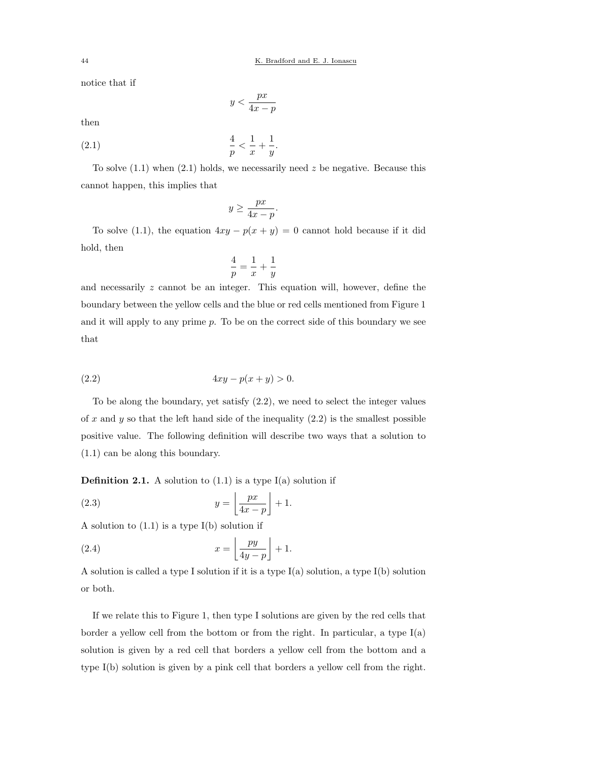notice that if

$$
y < \frac{px}{4x - p}
$$

then

(2.1) 
$$
\frac{4}{p} < \frac{1}{x} + \frac{1}{y}.
$$

To solve  $(1.1)$  when  $(2.1)$  holds, we necessarily need z be negative. Because this cannot happen, this implies that

$$
y \ge \frac{px}{4x - p}.
$$

To solve (1.1), the equation  $4xy - p(x + y) = 0$  cannot hold because if it did hold, then

$$
\frac{4}{p} = \frac{1}{x} + \frac{1}{y}
$$

and necessarily z cannot be an integer. This equation will, however, define the boundary between the yellow cells and the blue or red cells mentioned from Figure 1 and it will apply to any prime  $p$ . To be on the correct side of this boundary we see that

(2.2) 
$$
4xy - p(x + y) > 0.
$$

To be along the boundary, yet satisfy (2.2), we need to select the integer values of x and y so that the left hand side of the inequality  $(2.2)$  is the smallest possible positive value. The following definition will describe two ways that a solution to (1.1) can be along this boundary.

**Definition 2.1.** A solution to  $(1.1)$  is a type  $I(a)$  solution if

(2.3) 
$$
y = \left\lfloor \frac{px}{4x - p} \right\rfloor + 1.
$$

A solution to  $(1.1)$  is a type  $I(b)$  solution if

(2.4) 
$$
x = \left\lfloor \frac{py}{4y - p} \right\rfloor + 1.
$$

A solution is called a type I solution if it is a type  $I(a)$  solution, a type  $I(b)$  solution or both.

If we relate this to Figure 1, then type I solutions are given by the red cells that border a yellow cell from the bottom or from the right. In particular, a type  $I(a)$ solution is given by a red cell that borders a yellow cell from the bottom and a type I(b) solution is given by a pink cell that borders a yellow cell from the right.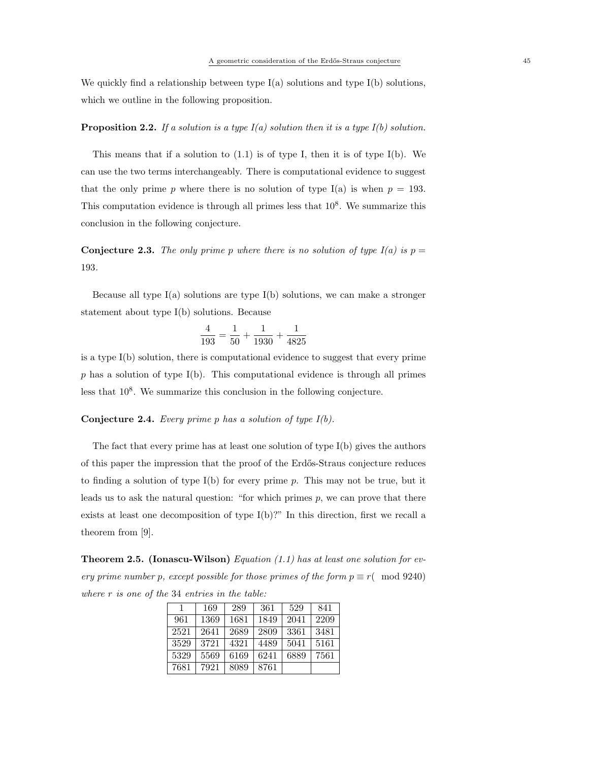We quickly find a relationship between type  $I(a)$  solutions and type  $I(b)$  solutions, which we outline in the following proposition.

# **Proposition 2.2.** If a solution is a type  $I(a)$  solution then it is a type  $I(b)$  solution.

This means that if a solution to  $(1.1)$  is of type I, then it is of type I(b). We can use the two terms interchangeably. There is computational evidence to suggest that the only prime p where there is no solution of type I(a) is when  $p = 193$ . This computation evidence is through all primes less that  $10^8$ . We summarize this conclusion in the following conjecture.

**Conjecture 2.3.** The only prime p where there is no solution of type  $I(a)$  is  $p =$ 193.

Because all type  $I(a)$  solutions are type  $I(b)$  solutions, we can make a stronger statement about type I(b) solutions. Because

$$
\frac{4}{193} = \frac{1}{50} + \frac{1}{1930} + \frac{1}{4825}
$$

is a type I(b) solution, there is computational evidence to suggest that every prime  $p$  has a solution of type I(b). This computational evidence is through all primes less that  $10^8$ . We summarize this conclusion in the following conjecture.

## **Conjecture 2.4.** Every prime p has a solution of type  $I(b)$ .

The fact that every prime has at least one solution of type  $I(b)$  gives the authors of this paper the impression that the proof of the Erdős-Straus conjecture reduces to finding a solution of type  $I(b)$  for every prime p. This may not be true, but it leads us to ask the natural question: "for which primes  $p$ , we can prove that there exists at least one decomposition of type I(b)?" In this direction, first we recall a theorem from [9].

**Theorem 2.5.** (Ionascu-Wilson) Equation (1.1) has at least one solution for every prime number p, except possible for those primes of the form  $p \equiv r \pmod{9240}$ where r is one of the 34 entries in the table:

| 1    | 169  | 289  | 361  | 529  | 841  |
|------|------|------|------|------|------|
| 961  | 1369 | 1681 | 1849 | 2041 | 2209 |
| 2521 | 2641 | 2689 | 2809 | 3361 | 3481 |
| 3529 | 3721 | 4321 | 4489 | 5041 | 5161 |
| 5329 | 5569 | 6169 | 6241 | 6889 | 7561 |
| 7681 | 7921 | 8089 | 8761 |      |      |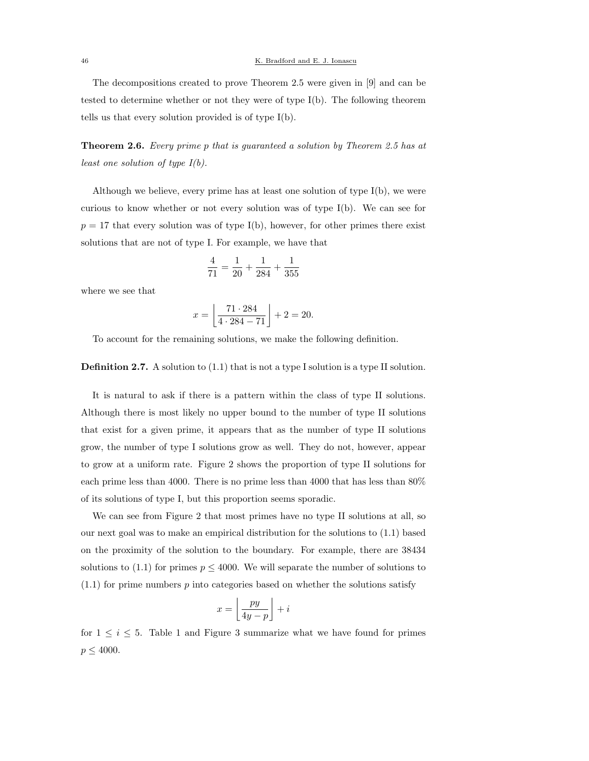The decompositions created to prove Theorem 2.5 were given in [9] and can be tested to determine whether or not they were of type I(b). The following theorem tells us that every solution provided is of type I(b).

Theorem 2.6. Every prime p that is guaranteed a solution by Theorem 2.5 has at *least one solution of type*  $I(b)$ *.* 

Although we believe, every prime has at least one solution of type I(b), we were curious to know whether or not every solution was of type I(b). We can see for  $p = 17$  that every solution was of type I(b), however, for other primes there exist solutions that are not of type I. For example, we have that

$$
\frac{4}{71} = \frac{1}{20} + \frac{1}{284} + \frac{1}{355}
$$

where we see that

$$
x = \left\lfloor \frac{71 \cdot 284}{4 \cdot 284 - 71} \right\rfloor + 2 = 20.
$$

To account for the remaining solutions, we make the following definition.

Definition 2.7. A solution to (1.1) that is not a type I solution is a type II solution.

It is natural to ask if there is a pattern within the class of type II solutions. Although there is most likely no upper bound to the number of type II solutions that exist for a given prime, it appears that as the number of type II solutions grow, the number of type I solutions grow as well. They do not, however, appear to grow at a uniform rate. Figure 2 shows the proportion of type II solutions for each prime less than 4000. There is no prime less than 4000 that has less than 80% of its solutions of type I, but this proportion seems sporadic.

We can see from Figure 2 that most primes have no type II solutions at all, so our next goal was to make an empirical distribution for the solutions to (1.1) based on the proximity of the solution to the boundary. For example, there are 38434 solutions to (1.1) for primes  $p \leq 4000$ . We will separate the number of solutions to  $(1.1)$  for prime numbers p into categories based on whether the solutions satisfy

$$
x = \left\lfloor \frac{py}{4y - p} \right\rfloor + i
$$

for  $1 \leq i \leq 5$ . Table 1 and Figure 3 summarize what we have found for primes  $p \leq 4000$ .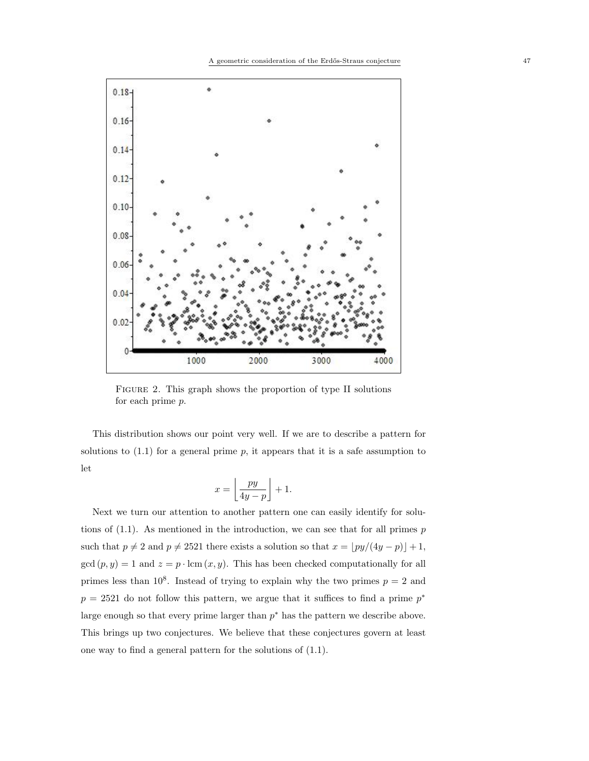

Figure 2. This graph shows the proportion of type II solutions for each prime p.

This distribution shows our point very well. If we are to describe a pattern for solutions to  $(1.1)$  for a general prime p, it appears that it is a safe assumption to let

$$
x = \left\lfloor \frac{py}{4y - p} \right\rfloor + 1.
$$

Next we turn our attention to another pattern one can easily identify for solutions of  $(1.1)$ . As mentioned in the introduction, we can see that for all primes  $p$ such that  $p \neq 2$  and  $p \neq 2521$  there exists a solution so that  $x = \lfloor py/(4y - p) \rfloor + 1$ ,  $gcd(p, y) = 1$  and  $z = p \cdot lcm(x, y)$ . This has been checked computationally for all primes less than  $10^8$ . Instead of trying to explain why the two primes  $p = 2$  and  $p = 2521$  do not follow this pattern, we argue that it suffices to find a prime  $p^*$ large enough so that every prime larger than  $p^*$  has the pattern we describe above. This brings up two conjectures. We believe that these conjectures govern at least one way to find a general pattern for the solutions of (1.1).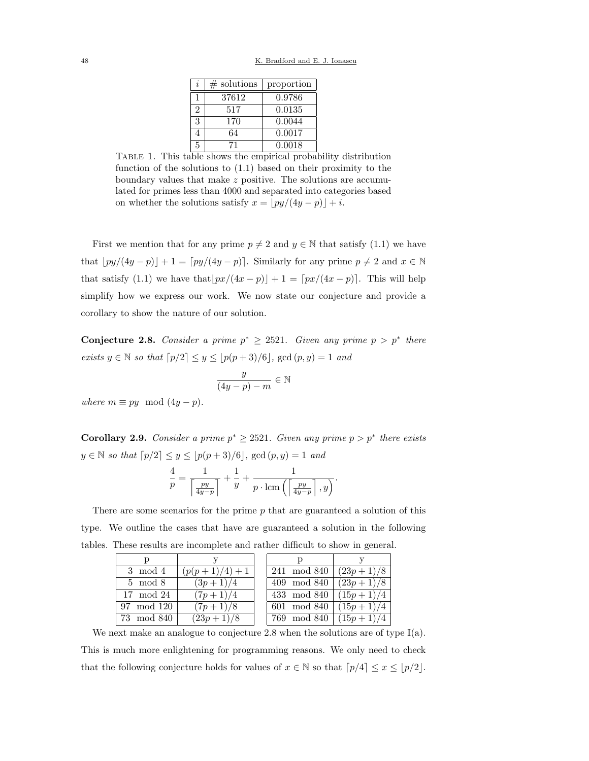| İ, | $#$ solutions | proportion |
|----|---------------|------------|
|    | 37612         | 0.9786     |
| 2  | 517           | 0.0135     |
| 3  | 170           | 0.0044     |
|    | 64            | 0.0017     |
| 5  | 71            | 0.0018     |

Table 1. This table shows the empirical probability distribution function of the solutions to (1.1) based on their proximity to the boundary values that make z positive. The solutions are accumulated for primes less than 4000 and separated into categories based on whether the solutions satisfy  $x = |py/(4y - p)| + i$ .

First we mention that for any prime  $p \neq 2$  and  $y \in \mathbb{N}$  that satisfy (1.1) we have that  $\lfloor py/(4y - p)\rfloor + 1 = \lfloor py/(4y - p)\rfloor$ . Similarly for any prime  $p \neq 2$  and  $x \in \mathbb{N}$ that satisfy (1.1) we have that  $\lfloor px/(4x - p) \rfloor + 1 = \lfloor px/(4x - p) \rfloor$ . This will help simplify how we express our work. We now state our conjecture and provide a corollary to show the nature of our solution.

Conjecture 2.8. Consider a prime  $p^* \geq 2521$ . Given any prime  $p > p^*$  there exists  $y \in \mathbb{N}$  so that  $\lceil p/2 \rceil \leq y \leq \lfloor p(p+3)/6 \rfloor$ , gcd  $(p, y) = 1$  and

$$
\frac{y}{(4y-p)-m} \in \mathbb{N}
$$

where  $m \equiv py \mod (4y - p)$ .

**Corollary 2.9.** Consider a prime  $p^* \geq 2521$ . Given any prime  $p > p^*$  there exists  $y \in \mathbb{N}$  so that  $\lceil p/2 \rceil \leq y \leq \lfloor p(p+3)/6 \rfloor$ , gcd  $(p, y) = 1$  and

$$
\frac{4}{p} = \frac{1}{\left\lceil \frac{py}{4y-p} \right\rceil} + \frac{1}{y} + \frac{1}{p \cdot \text{lcm}\left(\left\lceil \frac{py}{4y-p} \right\rceil, y\right)}.
$$

There are some scenarios for the prime  $p$  that are guaranteed a solution of this type. We outline the cases that have are guaranteed a solution in the following tables. These results are incomplete and rather difficult to show in general.  $\overline{\phantom{a}}$ 

| 3 mod 4    | $(p(p+1)/4)+1$ |  | 241 mod 840 | $(23p+1)/8$ |
|------------|----------------|--|-------------|-------------|
| $5 \mod 8$ | $(3p+1)/4$     |  | 409 mod 840 | $(23p+1)/8$ |
| 17 mod 24  | $(7p+1)/4$     |  | 433 mod 840 | $(15p+1)/4$ |
| 97 mod 120 | $(7p+1)/8$     |  | 601 mod 840 | $(15p+1)/4$ |
| 73 mod 840 | $(23p+1)/8$    |  | 769 mod 840 | $(15p+1)/4$ |

We next make an analogue to conjecture 2.8 when the solutions are of type  $I(a)$ . This is much more enlightening for programming reasons. We only need to check that the following conjecture holds for values of  $x \in \mathbb{N}$  so that  $\lceil p/4 \rceil \leq x \leq \lceil p/2 \rceil$ .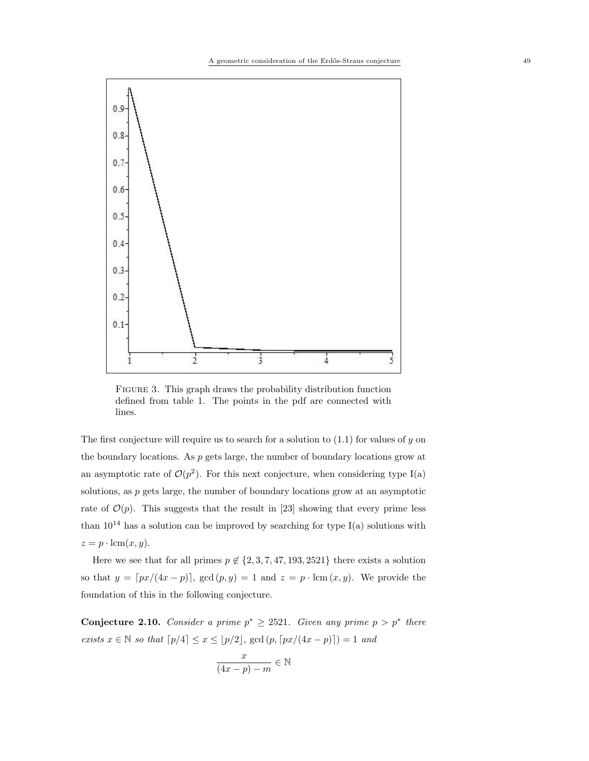

Figure 3. This graph draws the probability distribution function defined from table 1. The points in the pdf are connected with lines.

The first conjecture will require us to search for a solution to  $(1.1)$  for values of y on the boundary locations. As  $p$  gets large, the number of boundary locations grow at an asymptotic rate of  $\mathcal{O}(p^2)$ . For this next conjecture, when considering type I(a) solutions, as  $p$  gets large, the number of boundary locations grow at an asymptotic rate of  $\mathcal{O}(p)$ . This suggests that the result in [23] showing that every prime less than  $10^{14}$  has a solution can be improved by searching for type I(a) solutions with  $z = p \cdot \text{lcm}(x, y).$ 

Here we see that for all primes  $p \notin \{2, 3, 7, 47, 193, 2521\}$  there exists a solution so that  $y = \lfloor px/(4x - p) \rfloor$ ,  $gcd(p, y) = 1$  and  $z = p \cdot lcm(x, y)$ . We provide the foundation of this in the following conjecture.

Conjecture 2.10. Consider a prime  $p^* \geq 2521$ . Given any prime  $p > p^*$  there exists  $x \in \mathbb{N}$  so that  $\lceil p/4 \rceil \le x \le \lfloor p/2 \rfloor$ , gcd  $(p, \lceil px/(4x - p) \rceil) = 1$  and

$$
\frac{x}{(4x-p)-m} \in \mathbb{N}
$$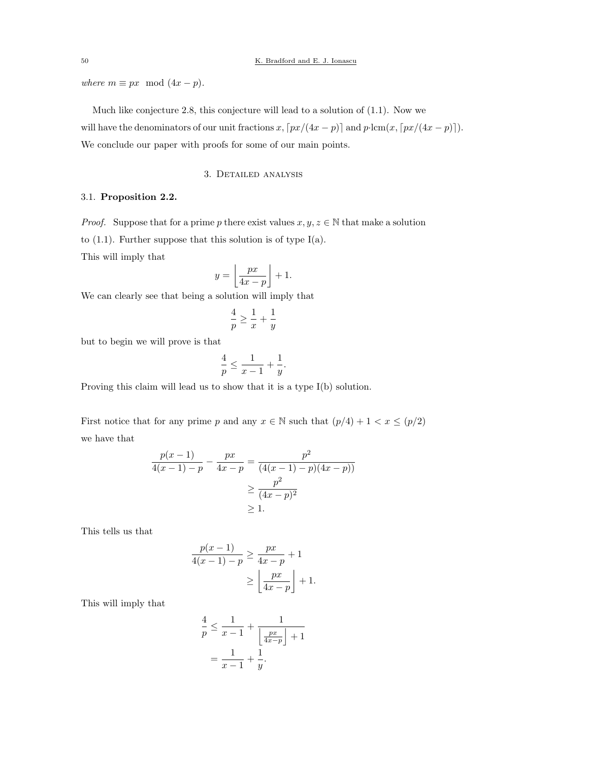where  $m \equiv px \mod (4x - p)$ .

Much like conjecture 2.8, this conjecture will lead to a solution of (1.1). Now we

will have the denominators of our unit fractions x,  $\lceil px/(4x - p) \rceil$  and  $p \cdot \text{lcm}(x, \lceil px/(4x - p) \rceil)$ . We conclude our paper with proofs for some of our main points.

## 3. Detailed analysis

## 3.1. Proposition 2.2.

*Proof.* Suppose that for a prime p there exist values  $x, y, z \in \mathbb{N}$  that make a solution to  $(1.1)$ . Further suppose that this solution is of type I(a). This will imply that

$$
y = \left\lfloor \frac{px}{4x - p} \right\rfloor + 1.
$$

We can clearly see that being a solution will imply that

$$
\frac{4}{p} \ge \frac{1}{x} + \frac{1}{y}
$$

but to begin we will prove is that

$$
\frac{4}{p} \le \frac{1}{x-1} + \frac{1}{y}.
$$

Proving this claim will lead us to show that it is a type I(b) solution.

First notice that for any prime p and any  $x \in \mathbb{N}$  such that  $(p/4) + 1 < x \le (p/2)$ we have that

$$
\frac{p(x-1)}{4(x-1)-p} - \frac{px}{4x-p} = \frac{p^2}{(4(x-1)-p)(4x-p))}
$$

$$
\geq \frac{p^2}{(4x-p)^2}
$$

$$
\geq 1.
$$

This tells us that

$$
\frac{p(x-1)}{4(x-1)-p} \ge \frac{px}{4x-p} + 1
$$

$$
\ge \left\lfloor \frac{px}{4x-p} \right\rfloor + 1.
$$

This will imply that

$$
\frac{4}{p} \le \frac{1}{x-1} + \frac{1}{\left\lfloor \frac{px}{4x-p} \right\rfloor + 1}
$$

$$
= \frac{1}{x-1} + \frac{1}{y}.
$$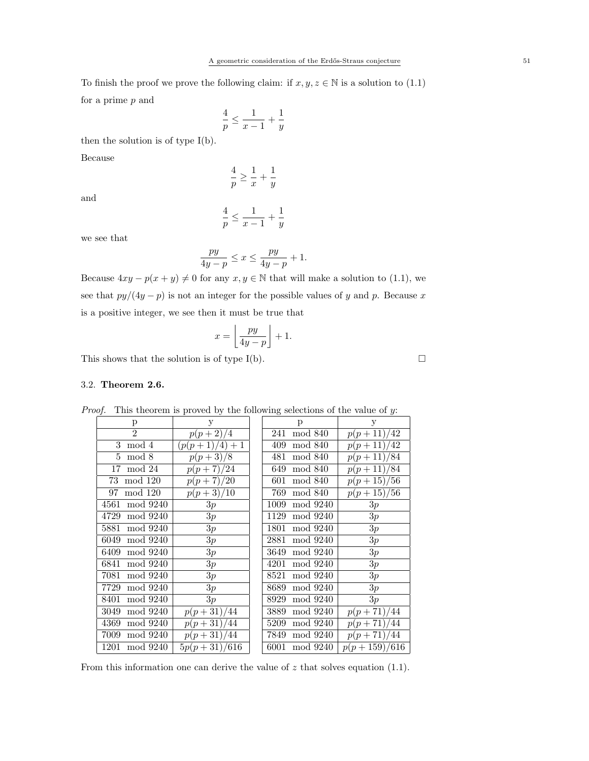To finish the proof we prove the following claim: if  $x, y, z \in \mathbb{N}$  is a solution to (1.1) for a prime p and

$$
\frac{4}{p} \le \frac{1}{x-1} + \frac{1}{y}
$$

then the solution is of type I(b).

Because

$$
\frac{4}{p} \ge \frac{1}{x} + \frac{1}{y}
$$

and

$$
\frac{4}{p}\leq \frac{1}{x-1}+\frac{1}{y}
$$

we see that

$$
\frac{py}{4y-p} \le x \le \frac{py}{4y-p} + 1.
$$

Because  $4xy - p(x + y) \neq 0$  for any  $x, y \in \mathbb{N}$  that will make a solution to (1.1), we see that  $py/(4y - p)$  is not an integer for the possible values of y and p. Because x is a positive integer, we see then it must be true that

$$
x = \left\lfloor \frac{py}{4y - p} \right\rfloor + 1.
$$

This shows that the solution is of type I(b).  $\Box$ 

#### 3.2. Theorem 2.6.

| p                | У                                 | p                | У                       |
|------------------|-----------------------------------|------------------|-------------------------|
| $\mathfrak{D}$   | $p(p+2)\overline{4}$              | 241<br>mod 840   | $p(p+11)/\overline{42}$ |
| 3<br>mod 4       | $\left(\frac{p(p+1)}{4}\right)+1$ | mod 840<br>409   | $p(p+11)/42$            |
| mod 8<br>5       | $p(p+3)/8$                        | mod 840<br>481   | $p(p+11)/84$            |
| mod 24<br>17     | $p(p+7)/24$                       | mod 840<br>649   | $p(p+11)/84$            |
| mod 120<br>73    | $p(p+7)/20$                       | mod 840<br>601   | $p(p+15)/56$            |
| mod 120<br>97    | $p(p+3)/10$                       | mod 840<br>769   | $p(p+15)/56$            |
| mod 9240<br>4561 | 3p                                | mod 9240<br>1009 | 3p                      |
| mod 9240<br>4729 | 3p                                | mod 9240<br>1129 | 3p                      |
| mod 9240<br>5881 | 3p                                | 1801<br>mod 9240 | 3p                      |
| mod 9240<br>6049 | 3p                                | 2881<br>mod 9240 | 3p                      |
| mod 9240<br>6409 | 3p                                | 3649<br>mod 9240 | 3p                      |
| mod 9240<br>6841 | 3p                                | mod 9240<br>4201 | 3p                      |
| mod 9240<br>7081 | 3p                                | mod 9240<br>8521 | 3p                      |
| mod 9240<br>7729 | 3p                                | mod 9240<br>8689 | 3p                      |
| mod 9240<br>8401 | 3p                                | mod 9240<br>8929 | 3p                      |
| 3049<br>mod 9240 | $p(p+31)/44$                      | mod 9240<br>3889 | $p(p+71)/44$            |
| 4369<br>mod 9240 | $p(p+31)/\sqrt{44}$               | 5209<br>mod 9240 | $p(p+71)/44$            |
| mod 9240<br>7009 | $p(p+31)/\sqrt{44}$               | 7849<br>mod 9240 | $p(p+71)/44$            |
| mod 9240<br>1201 | $5p(p+31)/616$                    | mod 9240<br>6001 | $p(p+159)/616$          |

*Proof.* This theorem is proved by the following selections of the value of  $y$ :

From this information one can derive the value of  $z$  that solves equation (1.1).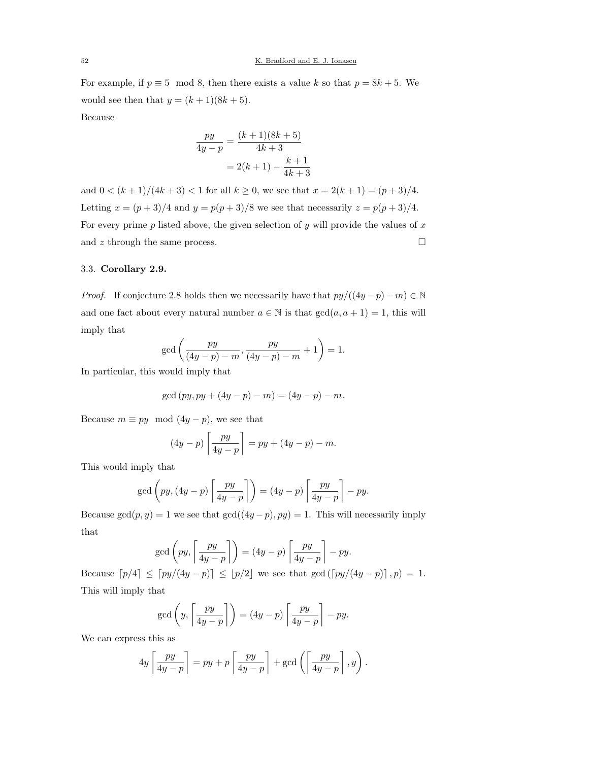For example, if  $p \equiv 5 \mod 8$ , then there exists a value k so that  $p = 8k + 5$ . We would see then that  $y = (k + 1)(8k + 5)$ .

Because

$$
\frac{py}{4y - p} = \frac{(k+1)(8k+5)}{4k+3}
$$

$$
= 2(k+1) - \frac{k+1}{4k+3}
$$

and  $0 < (k + 1)/(4k + 3) < 1$  for all  $k \ge 0$ , we see that  $x = 2(k + 1) = (p + 3)/4$ . Letting  $x = (p+3)/4$  and  $y = p(p+3)/8$  we see that necessarily  $z = p(p+3)/4$ . For every prime  $p$  listed above, the given selection of  $y$  will provide the values of  $x$ and  $z$  through the same process.  $\hfill \square$ 

## 3.3. Corollary 2.9.

*Proof.* If conjecture 2.8 holds then we necessarily have that  $py/((4y - p) - m) \in \mathbb{N}$ and one fact about every natural number  $a \in \mathbb{N}$  is that  $gcd(a, a + 1) = 1$ , this will imply that

$$
\gcd\left(\frac{py}{(4y-p)-m}, \frac{py}{(4y-p)-m}+1\right) = 1.
$$

In particular, this would imply that

$$
\gcd{(py, py + (4y - p) - m)} = (4y - p) - m.
$$

Because  $m \equiv py \mod(4y - p)$ , we see that

$$
(4y-p)\left\lceil \frac{py}{4y-p} \right\rceil = py + (4y-p) - m.
$$

This would imply that

$$
\gcd\left(py,(4y-p)\left\lceil\frac{py}{4y-p}\right\rceil\right)=(4y-p)\left\lceil\frac{py}{4y-p}\right\rceil-py.
$$

Because  $gcd(p, y) = 1$  we see that  $gcd((4y - p), py) = 1$ . This will necessarily imply that

$$
\gcd\left(py, \left\lceil\frac{py}{4y-p}\right\rceil\right) = (4y-p)\left\lceil\frac{py}{4y-p}\right\rceil - py.
$$

Because  $[p/4] \leq [py/(4y - p)] \leq [p/2]$  we see that  $gcd([py/(4y - p)], p) = 1$ . This will imply that

$$
\gcd\left(y, \left\lceil \frac{py}{4y-p} \right\rceil\right) = (4y-p) \left\lceil \frac{py}{4y-p} \right\rceil - py.
$$

We can express this as

$$
4y \left[ \frac{py}{4y-p} \right] = py + p \left[ \frac{py}{4y-p} \right] + \gcd \left( \left[ \frac{py}{4y-p} \right], y \right).
$$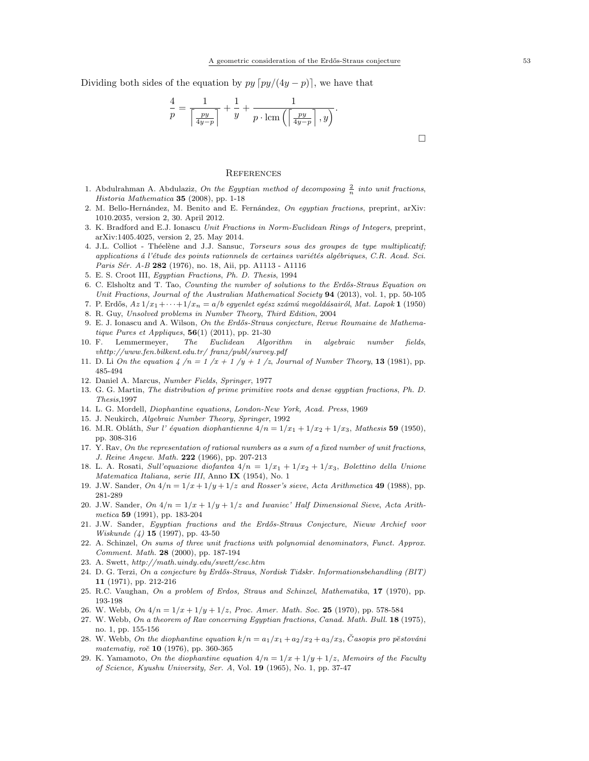Dividing both sides of the equation by  $py [py/(4y - p)]$ , we have that

$$
\frac{4}{p} = \frac{1}{\left\lceil \frac{py}{4y-p} \right\rceil} + \frac{1}{y} + \frac{1}{p \cdot \text{lcm}\left(\left\lceil \frac{py}{4y-p} \right\rceil, y\right)}.
$$

#### **REFERENCES**

- 1. Abdulrahman A. Abdulaziz, On the Egyptian method of decomposing  $\frac{2}{n}$  into unit fractions, Historia Mathematica 35 (2008), pp. 1-18
- 2. M. Bello-Hernández, M. Benito and E. Fernández, On egyptian fractions, preprint, arXiv: 1010.2035, version 2, 30. April 2012.
- 3. K. Bradford and E.J. Ionascu Unit Fractions in Norm-Euclidean Rings of Integers, preprint, arXiv:1405.4025, version 2, 25. May 2014.
- 4. J.L. Colliot Théelène and J.J. Sansuc, Torseurs sous des groupes de type multiplicatif; applications  $\acute{a}$  l'étude des points rationnels de certaines variétés algébriques, C.R. Acad. Sci. Paris Sér. A-B 282 (1976), no. 18, Aii, pp. A1113 - A1116
- 5. E. S. Croot III, Egyptian Fractions, Ph. D. Thesis, 1994
- 6. C. Elsholtz and T. Tao, *Counting the number of solutions to the Erdős-Straus Equation on* Unit Fractions, Journal of the Australian Mathematical Society 94 (2013), vol. 1, pp. 50-105
- 7. P. Erdős,  $Az\ 1/x_1 + \cdots + 1/x_n = a/b$  egyenlet egész számú megoldásairól, Mat. Lapok 1 (1950)
- 8. R. Guy, Unsolved problems in Number Theory, Third Edition, 2004
- 9. E. J. Ionascu and A. Wilson, On the Erdős-Straus conjecture, Revue Roumaine de Mathematique Pures et Appliques,  $56(1)$  (2011), pp. 21-30
- 10. F. Lemmermeyer, The Euclidean Algorithm in algebraic number fields, vhttp://www.fen.bilkent.edu.tr/ franz/publ/survey.pdf
- 11. D. Li On the equation  $4/n = 1/x + 1/y + 1/z$ , Journal of Number Theory, 13 (1981), pp. 485-494
- 12. Daniel A. Marcus, Number Fields, Springer, 1977
- 13. G. G. Martin, The distribution of prime primitive roots and dense egyptian fractions, Ph. D. Thesis,1997
- 14. L. G. Mordell, Diophantine equations, London-New York, Acad. Press, 1969
- 15. J. Neukirch, Algebraic Number Theory, Springer, 1992
- 16. M.R. Obláth, Sur l' équation diophantienne  $4/n = 1/x_1 + 1/x_2 + 1/x_3$ , Mathesis 59 (1950), pp. 308-316
- 17. Y. Rav, On the representation of rational numbers as a sum of a fixed number of unit fractions, J. Reine Angew. Math. 222 (1966), pp. 207-213
- 18. L. A. Rosati, Sull'equazione diofantea  $4/n = 1/x_1 + 1/x_2 + 1/x_3$ , Bolettino della Unione Matematica Italiana, serie III, Anno IX (1954), No. 1
- 19. J.W. Sander, On  $4/n = 1/x + 1/y + 1/z$  and Rosser's sieve, Acta Arithmetica 49 (1988), pp. 281-289
- 20. J.W. Sander, On  $4/n = 1/x + 1/y + 1/z$  and Iwaniec' Half Dimensional Sieve, Acta Arithmetica 59 (1991), pp. 183-204
- 21. J.W. Sander, Egyptian fractions and the Erd˝os-Straus Conjecture, Nieuw Archief voor Wiskunde (4) 15 (1997), pp. 43-50
- 22. A. Schinzel, On sums of three unit fractions with polynomial denominators, Funct. Approx. Comment. Math. 28 (2000), pp. 187-194
- 23. A. Swett, http://math.uindy.edu/swett/esc.htm
- 24. D. G. Terzi, On a conjecture by Erdős-Straus, Nordisk Tidskr. Informationsbehandling (BIT) 11 (1971), pp. 212-216
- 25. R.C. Vaughan, On a problem of Erdos, Straus and Schinzel, Mathematika, 17 (1970), pp. 193-198
- 26. W. Webb, On  $4/n = 1/x + 1/y + 1/z$ , Proc. Amer. Math. Soc. 25 (1970), pp. 578-584
- 27. W. Webb, On a theorem of Rav concerning Egyptian fractions, Canad. Math. Bull. 18 (1975), no. 1, pp. 155-156
- 28. W. Webb, On the diophantine equation  $k/n = a_1/x_1 + a_2/x_2 + a_3/x_3$ , Casopis pro pĕstováni matematiy, roč 10 (1976), pp. 360-365
- 29. K. Yamamoto, On the diophantine equation  $4/n = 1/x + 1/y + 1/z$ , Memoirs of the Faculty of Science, Kyushu University, Ser. A, Vol. 19 (1965), No. 1, pp. 37-47

 $\Box$